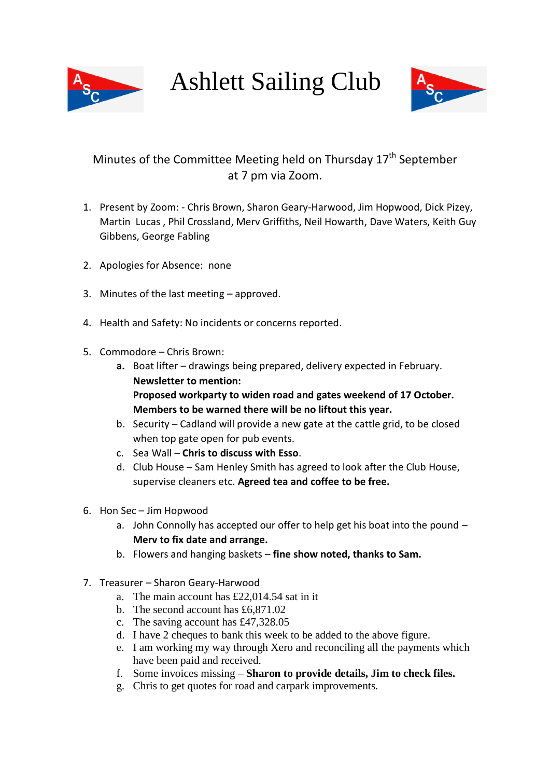

Ashlett Sailing Club



## Minutes of the Committee Meeting held on Thursday 17<sup>th</sup> September at 7 pm via Zoom.

- 1. Present by Zoom: Chris Brown, Sharon Geary-Harwood, Jim Hopwood, Dick Pizey, Martin Lucas , Phil Crossland, Merv Griffiths, Neil Howarth, Dave Waters, Keith Guy Gibbens, George Fabling
- 2. Apologies for Absence: none
- 3. Minutes of the last meeting approved.
- 4. Health and Safety: No incidents or concerns reported.
- 5. Commodore Chris Brown:
	- **a.** Boat lifter drawings being prepared, delivery expected in February. **Newsletter to mention: Proposed workparty to widen road and gates weekend of 17 October. Members to be warned there will be no liftout this year.**
	- b. Security Cadland will provide a new gate at the cattle grid, to be closed when top gate open for pub events.
	- c. Sea Wall **Chris to discuss with Esso**.
	- d. Club House Sam Henley Smith has agreed to look after the Club House, supervise cleaners etc. **Agreed tea and coffee to be free.**
- 6. Hon Sec Jim Hopwood
	- a. John Connolly has accepted our offer to help get his boat into the pound **Merv to fix date and arrange.**
	- b. Flowers and hanging baskets **fine show noted, thanks to Sam.**
- 7. Treasurer Sharon Geary-Harwood
	- a. The main account has £22,014.54 sat in it
	- b. The second account has £6,871.02
	- c. The saving account has £47,328.05
	- d. I have 2 cheques to bank this week to be added to the above figure.
	- e. I am working my way through Xero and reconciling all the payments which have been paid and received.
	- f. Some invoices missing **Sharon to provide details, Jim to check files.**
	- g. Chris to get quotes for road and carpark improvements.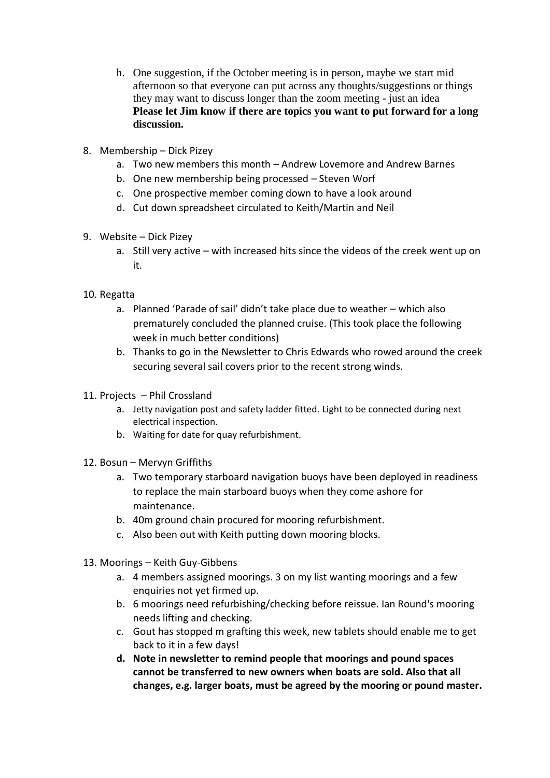- h. One suggestion, if the October meeting is in person, maybe we start mid afternoon so that everyone can put across any thoughts/suggestions or things they may want to discuss longer than the zoom meeting - just an idea **Please let Jim know if there are topics you want to put forward for a long discussion.**
- 8. Membership Dick Pizey
	- a. Two new members this month Andrew Lovemore and Andrew Barnes
	- b. One new membership being processed Steven Worf
	- c. One prospective member coming down to have a look around
	- d. Cut down spreadsheet circulated to Keith/Martin and Neil
- 9. Website Dick Pizey
	- a. Still very active with increased hits since the videos of the creek went up on it.

## 10. Regatta

- a. Planned 'Parade of sail' didn't take place due to weather which also prematurely concluded the planned cruise. (This took place the following week in much better conditions)
- b. Thanks to go in the Newsletter to Chris Edwards who rowed around the creek securing several sail covers prior to the recent strong winds.
- 11. Projects Phil Crossland
	- a. Jetty navigation post and safety ladder fitted. Light to be connected during next electrical inspection.
	- b. Waiting for date for quay refurbishment.
- 12. Bosun Mervyn Griffiths
	- a. Two temporary starboard navigation buoys have been deployed in readiness to replace the main starboard buoys when they come ashore for maintenance.
	- b. 40m ground chain procured for mooring refurbishment.
	- c. Also been out with Keith putting down mooring blocks.
- 13. Moorings Keith Guy-Gibbens
	- a. 4 members assigned moorings. 3 on my list wanting moorings and a few enquiries not yet firmed up.
	- b. 6 moorings need refurbishing/checking before reissue. Ian Round's mooring needs lifting and checking.
	- c. Gout has stopped m grafting this week, new tablets should enable me to get back to it in a few days!
	- **d. Note in newsletter to remind people that moorings and pound spaces cannot be transferred to new owners when boats are sold. Also that all changes, e.g. larger boats, must be agreed by the mooring or pound master.**